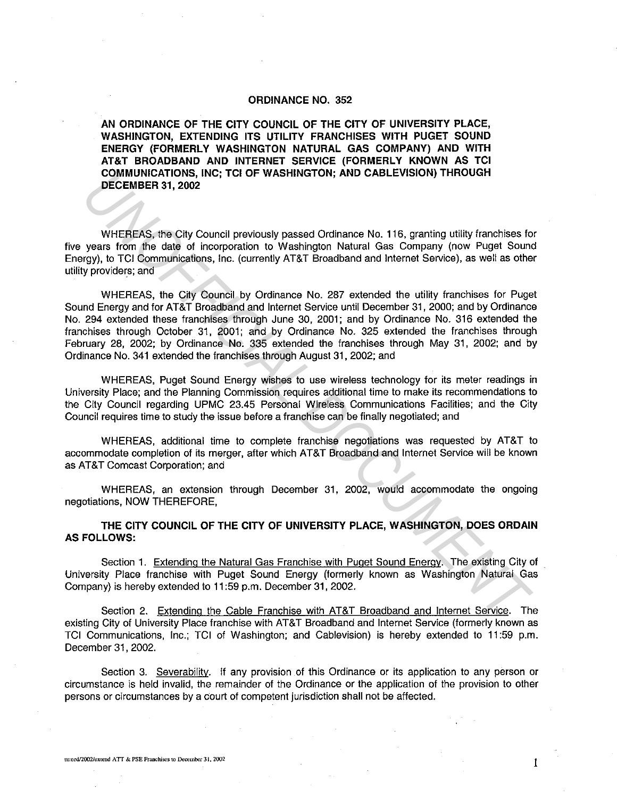## ORDINANCE NO. 352

AN ORDINANCE OF THE CITY COUNCIL OF THE CITY OF UNIVERSITY PLACE, WASHINGTON, EXTENDING ITS UTILITY FRANCHISES WITH PUGET SOUND ENERGY (FORMERLY WASHINGTON NATURAL GAS COMPANY) AND WITH AT&T BROADBAND AND INTERNET SERVICE (FORMERLY KNOWN AS TCI COMMUNICATIONS, INC; TCI OF WASHINGTON; AND CABLEVISION) THROUGH DECEMBER 31, 2002

WHEREAS, the City Council previously passed Ordinance No. 116, granting utility franchises for five years from the date of incorporation to Washington Natural Gas Company (now Puget Sound Energy), to TCI Communications, Inc. (currently AT&T Broadband and Internet Service), as well as other utility providers; and

WHEREAS, the City Council by Ordinance No. 287 extended the utility franchises for Puget Sound Energy and for AT&T Broadband and Internet Service until December 31, 2000; and by Ordinance No. 294 extended these franchises through June 30, 2001; and by Ordinance No. 316 extended the franchises through October 31, 2001; and by Ordinance No. 325 extended the franchises through February 28, 2002; by Ordinance No. 335 extended the franchises through May 31, 2002; and by Ordinance No. 341 extended the franchises through August 31, 2002; and **UNIFICIATION:** INC.; ILC OF WASHINGTON; AND CABLEVISION) THROUGH<br>
WHEREAS, the City Council previously passed Ordinance No. 116, granting utility franchises for<br>
whereas tom the date of incorporation to Washington Natural

WHEREAS, Puget Sound Energy wishes to use wireless technology for its meter readings in University Place; and the Planning Commission requires additional time to make its recommendations to the City Council regarding UPMC 23.45 Personal Wireless Communications Facilities; and the City Council requires time to study the issue before a franchise can be finally negotiated; and

WHEREAS, additional time to complete franchise negotiations was requested by AT&T to accommodate completion of its merger, after which AT&T Broadband and Internet Service will be known as AT&T Comcast Corporation; and

WHEREAS, an extension through December 31, 2002, would accommodate the ongoing negotiations, NOW THEREFORE,

## THE CITY COUNCIL OF THE CITY OF UNIVERSITY PLACE, WASHINGTON, DOES ORDAIN AS FOLLOWS:

Section 1. Extending the Natural Gas Franchise with Puget Sound Energy. The existing City of University Place franchise with Puget Sound Energy (formerly known as Washington Natural Gas Company) is hereby extended to 11 :59 p.m. December 31, 2002.

Section 2. Extending the Cable Franchise with AT&T Broadband and Internet Service. The existing City of University Place franchise with AT&T Broadband and Internet Service (formerly known as TCI Communications, Inc.; TC! of Washington; and Cablevision) is hereby extended to 11 :59 p.m. December 31, 2002.

Section 3. Severability. If any provision of this Ordinance or its application to any person or circumstance is held invalid, the remainder of the Ordinance or the application of the provision to other persons or circumstances by a court of competent jurisdiction shall not be affected.